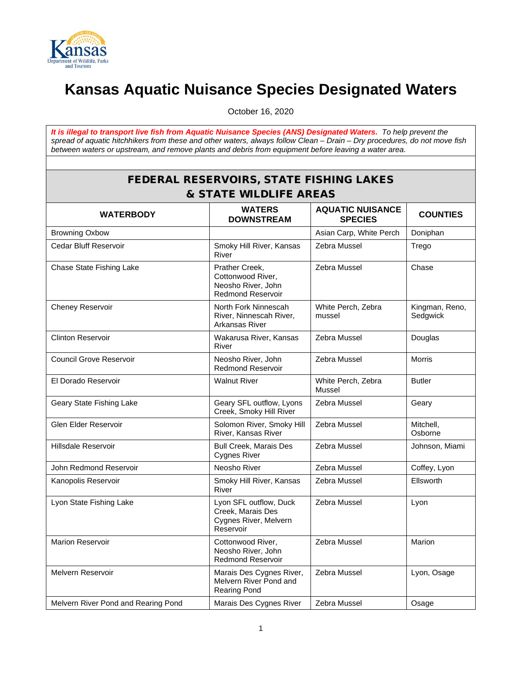

## **Kansas Aquatic Nuisance Species Designated Waters**

October 16, 2020

*It is illegal to transport live fish from Aquatic Nuisance Species (ANS) Designated Waters. To help prevent the spread of aquatic hitchhikers from these and other waters, always follow Clean – Drain – Dry procedures, do not move fish between waters or upstream, and remove plants and debris from equipment before leaving a water area.*

## FEDERAL RESERVOIRS, STATE FISHING LAKES & STATE WILDLIFE AREAS

| <b>WATERBODY</b>                    | <b>WATERS</b><br><b>DOWNSTREAM</b>                                                    | <b>AQUATIC NUISANCE</b><br><b>SPECIES</b> | <b>COUNTIES</b>            |
|-------------------------------------|---------------------------------------------------------------------------------------|-------------------------------------------|----------------------------|
| <b>Browning Oxbow</b>               |                                                                                       | Asian Carp, White Perch                   | Doniphan                   |
| Cedar Bluff Reservoir               | Smoky Hill River, Kansas<br>River                                                     | Zebra Mussel                              | Trego                      |
| Chase State Fishing Lake            | Prather Creek,<br>Cottonwood River,<br>Neosho River, John<br><b>Redmond Reservoir</b> | Zebra Mussel                              | Chase                      |
| Cheney Reservoir                    | North Fork Ninnescah<br>River, Ninnescah River,<br>Arkansas River                     | White Perch, Zebra<br>mussel              | Kingman, Reno,<br>Sedgwick |
| <b>Clinton Reservoir</b>            | Wakarusa River, Kansas<br>River                                                       | Zebra Mussel                              | Douglas                    |
| <b>Council Grove Reservoir</b>      | Neosho River, John<br><b>Redmond Reservoir</b>                                        | Zebra Mussel                              | <b>Morris</b>              |
| El Dorado Reservoir                 | <b>Walnut River</b>                                                                   | White Perch, Zebra<br>Mussel              | <b>Butler</b>              |
| Geary State Fishing Lake            | Geary SFL outflow, Lyons<br>Creek, Smoky Hill River                                   | Zebra Mussel                              | Geary                      |
| Glen Elder Reservoir                | Solomon River, Smoky Hill<br>River, Kansas River                                      | Zebra Mussel                              | Mitchell,<br>Osborne       |
| Hillsdale Reservoir                 | <b>Bull Creek, Marais Des</b><br><b>Cygnes River</b>                                  | Zebra Mussel                              | Johnson, Miami             |
| John Redmond Reservoir              | Neosho River                                                                          | Zebra Mussel                              | Coffey, Lyon               |
| Kanopolis Reservoir                 | Smoky Hill River, Kansas<br>River                                                     | Zebra Mussel                              | Ellsworth                  |
| Lyon State Fishing Lake             | Lyon SFL outflow, Duck<br>Creek, Marais Des<br>Cygnes River, Melvern<br>Reservoir     | Zebra Mussel                              | Lyon                       |
| <b>Marion Reservoir</b>             | Cottonwood River,<br>Neosho River, John<br><b>Redmond Reservoir</b>                   | Zebra Mussel                              | Marion                     |
| Melvern Reservoir                   | Marais Des Cygnes River,<br>Melvern River Pond and<br><b>Rearing Pond</b>             | Zebra Mussel                              | Lyon, Osage                |
| Melvern River Pond and Rearing Pond | Marais Des Cygnes River                                                               | Zebra Mussel                              | Osage                      |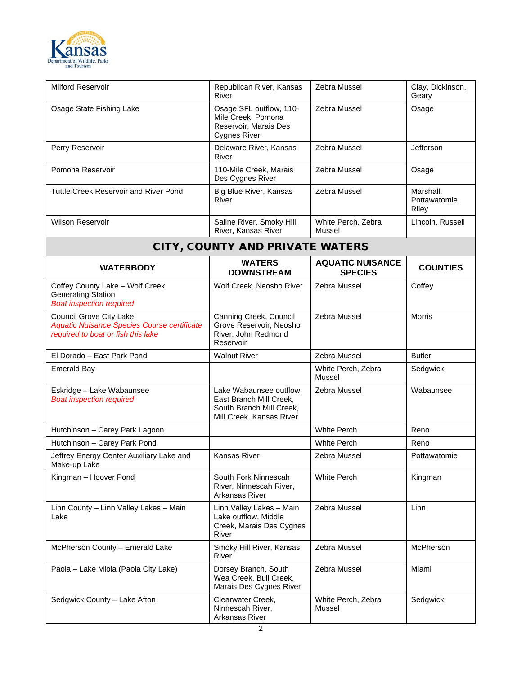

| <b>Milford Reservoir</b>                                                                                            | Republican River, Kansas<br>River                                                                          | Zebra Mussel                              | Clay, Dickinson,<br>Geary           |
|---------------------------------------------------------------------------------------------------------------------|------------------------------------------------------------------------------------------------------------|-------------------------------------------|-------------------------------------|
| Osage State Fishing Lake                                                                                            | Osage SFL outflow, 110-<br>Mile Creek, Pomona<br>Reservoir, Marais Des<br><b>Cygnes River</b>              | Zebra Mussel                              | Osage                               |
| Perry Reservoir                                                                                                     | Delaware River, Kansas<br>River                                                                            | Zebra Mussel                              | Jefferson                           |
| Pomona Reservoir                                                                                                    | 110-Mile Creek, Marais<br>Des Cygnes River                                                                 | Zebra Mussel                              | Osage                               |
| Tuttle Creek Reservoir and River Pond                                                                               | Big Blue River, Kansas<br>River                                                                            | Zebra Mussel                              | Marshall,<br>Pottawatomie,<br>Riley |
| <b>Wilson Reservoir</b>                                                                                             | Saline River, Smoky Hill<br>River, Kansas River                                                            | White Perch, Zebra<br>Mussel              | Lincoln, Russell                    |
|                                                                                                                     | <b>CITY, COUNTY AND PRIVATE WATERS</b>                                                                     |                                           |                                     |
| <b>WATERBODY</b>                                                                                                    | <b>WATERS</b><br><b>DOWNSTREAM</b>                                                                         | <b>AQUATIC NUISANCE</b><br><b>SPECIES</b> | <b>COUNTIES</b>                     |
| Coffey County Lake - Wolf Creek<br><b>Generating Station</b><br><b>Boat inspection required</b>                     | Wolf Creek, Neosho River                                                                                   | Zebra Mussel                              | Coffey                              |
| <b>Council Grove City Lake</b><br>Aquatic Nuisance Species Course certificate<br>required to boat or fish this lake | Canning Creek, Council<br>Grove Reservoir, Neosho<br>River, John Redmond<br>Reservoir                      | Zebra Mussel                              | <b>Morris</b>                       |
| El Dorado - East Park Pond                                                                                          | <b>Walnut River</b>                                                                                        | Zebra Mussel                              | <b>Butler</b>                       |
| <b>Emerald Bay</b>                                                                                                  |                                                                                                            | White Perch, Zebra<br>Mussel              | Sedgwick                            |
| Eskridge - Lake Wabaunsee<br><b>Boat inspection required</b>                                                        | Lake Wabaunsee outflow,<br>East Branch Mill Creek,<br>South Branch Mill Creek,<br>Mill Creek, Kansas River | Zebra Mussel                              | Wabaunsee                           |
| Hutchinson - Carey Park Lagoon                                                                                      |                                                                                                            | <b>White Perch</b>                        | Reno                                |
| Hutchinson - Carey Park Pond                                                                                        |                                                                                                            | <b>White Perch</b>                        | Reno                                |
| Jeffrey Energy Center Auxiliary Lake and<br>Make-up Lake                                                            | Kansas River                                                                                               | Zebra Mussel                              | Pottawatomie                        |
| Kingman - Hoover Pond                                                                                               | South Fork Ninnescah<br>River, Ninnescah River,<br>Arkansas River                                          | <b>White Perch</b>                        | Kingman                             |
| Linn County - Linn Valley Lakes - Main<br>Lake                                                                      | Linn Valley Lakes - Main<br>Lake outflow, Middle<br>Creek, Marais Des Cygnes<br>River                      | Zebra Mussel                              | <b>Linn</b>                         |
| McPherson County - Emerald Lake                                                                                     | Smoky Hill River, Kansas<br>River                                                                          | Zebra Mussel                              | <b>McPherson</b>                    |
| Paola - Lake Miola (Paola City Lake)                                                                                | Dorsey Branch, South<br>Wea Creek, Bull Creek,<br>Marais Des Cygnes River                                  | Zebra Mussel                              | Miami                               |
| Sedgwick County - Lake Afton                                                                                        | Clearwater Creek,<br>Ninnescah River,<br>Arkansas River                                                    | White Perch, Zebra<br>Mussel              | Sedgwick                            |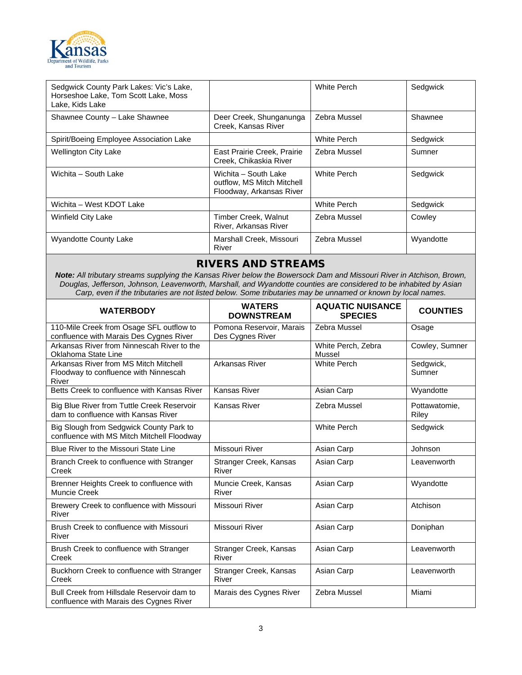

| Sedgwick County Park Lakes: Vic's Lake,<br>Horseshoe Lake, Tom Scott Lake, Moss<br>Lake, Kids Lake |                                                                                | White Perch        | Sedgwick  |
|----------------------------------------------------------------------------------------------------|--------------------------------------------------------------------------------|--------------------|-----------|
| Shawnee County - Lake Shawnee                                                                      | Deer Creek, Shunganunga<br>Creek, Kansas River                                 | Zebra Mussel       | Shawnee   |
| Spirit/Boeing Employee Association Lake                                                            |                                                                                | White Perch        | Sedgwick  |
| <b>Wellington City Lake</b>                                                                        | East Prairie Creek, Prairie<br>Creek, Chikaskia River                          | Zebra Mussel       | Sumner    |
| Wichita - South Lake                                                                               | Wichita - South Lake<br>outflow, MS Mitch Mitchell<br>Floodway, Arkansas River | <b>White Perch</b> | Sedgwick  |
| Wichita – West KDOT Lake                                                                           |                                                                                | White Perch        | Sedgwick  |
| <b>Winfield City Lake</b>                                                                          | Timber Creek, Walnut<br>River, Arkansas River                                  | Zebra Mussel       | Cowley    |
| <b>Wyandotte County Lake</b>                                                                       | Marshall Creek, Missouri<br>River                                              | Zebra Mussel       | Wyandotte |

## RIVERS AND STREAMS

*Note: All tributary streams supplying the Kansas River below the Bowersock Dam and Missouri River in Atchison, Brown, Douglas, Jefferson, Johnson, Leavenworth, Marshall, and Wyandotte counties are considered to be inhabited by Asian Carp, even if the tributaries are not listed below. Some tributaries may be unnamed or known by local names.*

| <b>WATERBODY</b>                                                                        | <b>WATERS</b><br><b>DOWNSTREAM</b>           | <b>AQUATIC NUISANCE</b><br><b>SPECIES</b> | <b>COUNTIES</b>        |
|-----------------------------------------------------------------------------------------|----------------------------------------------|-------------------------------------------|------------------------|
| 110-Mile Creek from Osage SFL outflow to<br>confluence with Marais Des Cygnes River     | Pomona Reservoir, Marais<br>Des Cygnes River | Zebra Mussel                              | Osage                  |
| Arkansas River from Ninnescah River to the<br>Oklahoma State Line                       |                                              | White Perch, Zebra<br>Mussel              | Cowley, Sumner         |
| Arkansas River from MS Mitch Mitchell<br>Floodway to confluence with Ninnescah<br>River | Arkansas River                               | <b>White Perch</b>                        | Sedgwick,<br>Sumner    |
| Betts Creek to confluence with Kansas River                                             | <b>Kansas River</b>                          | Asian Carp                                | Wyandotte              |
| Big Blue River from Tuttle Creek Reservoir<br>dam to confluence with Kansas River       | Kansas River                                 | Zebra Mussel                              | Pottawatomie.<br>Riley |
| Big Slough from Sedgwick County Park to<br>confluence with MS Mitch Mitchell Floodway   |                                              | <b>White Perch</b>                        | Sedgwick               |
| Blue River to the Missouri State Line                                                   | Missouri River                               | Asian Carp                                | Johnson                |
| Branch Creek to confluence with Stranger<br>Creek                                       | Stranger Creek, Kansas<br>River              | Asian Carp                                | Leavenworth            |
| Brenner Heights Creek to confluence with<br>Muncie Creek                                | Muncie Creek, Kansas<br>River                | Asian Carp                                | Wyandotte              |
| Brewery Creek to confluence with Missouri<br>River                                      | Missouri River                               | Asian Carp                                | Atchison               |
| Brush Creek to confluence with Missouri<br>River                                        | Missouri River                               | Asian Carp                                | Doniphan               |
| Brush Creek to confluence with Stranger<br>Creek                                        | Stranger Creek, Kansas<br>River              | Asian Carp                                | Leavenworth            |
| Buckhorn Creek to confluence with Stranger<br>Creek                                     | Stranger Creek, Kansas<br>River              | Asian Carp                                | Leavenworth            |
| Bull Creek from Hillsdale Reservoir dam to<br>confluence with Marais des Cygnes River   | Marais des Cygnes River                      | Zebra Mussel                              | Miami                  |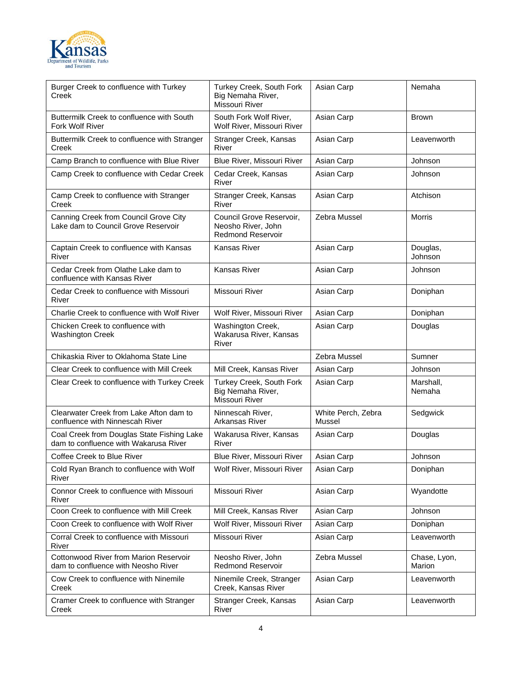

| Burger Creek to confluence with Turkey<br>Creek                                     | Turkey Creek, South Fork<br>Big Nemaha River,<br><b>Missouri River</b>     | Asian Carp                   | Nemaha                 |
|-------------------------------------------------------------------------------------|----------------------------------------------------------------------------|------------------------------|------------------------|
| Buttermilk Creek to confluence with South<br>Fork Wolf River                        | South Fork Wolf River,<br>Wolf River, Missouri River                       | Asian Carp                   | <b>Brown</b>           |
| Buttermilk Creek to confluence with Stranger<br>Creek                               | Stranger Creek, Kansas<br>River                                            | Asian Carp                   | Leavenworth            |
| Camp Branch to confluence with Blue River                                           | Blue River, Missouri River                                                 | Asian Carp                   | Johnson                |
| Camp Creek to confluence with Cedar Creek                                           | Cedar Creek, Kansas<br>River                                               | Asian Carp                   | Johnson                |
| Camp Creek to confluence with Stranger<br>Creek                                     | Stranger Creek, Kansas<br>River                                            | Asian Carp                   | Atchison               |
| Canning Creek from Council Grove City<br>Lake dam to Council Grove Reservoir        | Council Grove Reservoir,<br>Neosho River, John<br><b>Redmond Reservoir</b> | Zebra Mussel                 | <b>Morris</b>          |
| Captain Creek to confluence with Kansas<br>River                                    | Kansas River                                                               | Asian Carp                   | Douglas,<br>Johnson    |
| Cedar Creek from Olathe Lake dam to<br>confluence with Kansas River                 | Kansas River                                                               | Asian Carp                   | Johnson                |
| Cedar Creek to confluence with Missouri<br>River                                    | <b>Missouri River</b>                                                      | Asian Carp                   | Doniphan               |
| Charlie Creek to confluence with Wolf River                                         | Wolf River, Missouri River                                                 | Asian Carp                   | Doniphan               |
| Chicken Creek to confluence with<br><b>Washington Creek</b>                         | Washington Creek,<br>Wakarusa River, Kansas<br>River                       | Asian Carp                   | Douglas                |
| Chikaskia River to Oklahoma State Line                                              |                                                                            | Zebra Mussel                 | Sumner                 |
| Clear Creek to confluence with Mill Creek                                           | Mill Creek, Kansas River                                                   | Asian Carp                   | Johnson                |
| Clear Creek to confluence with Turkey Creek                                         | Turkey Creek, South Fork<br>Big Nemaha River,<br>Missouri River            | Asian Carp                   | Marshall,<br>Nemaha    |
| Clearwater Creek from Lake Afton dam to<br>confluence with Ninnescah River          | Ninnescah River.<br>Arkansas River                                         | White Perch, Zebra<br>Mussel | Sedgwick               |
| Coal Creek from Douglas State Fishing Lake<br>dam to confluence with Wakarusa River | Wakarusa River, Kansas<br>River                                            | Asian Carp                   | Douglas                |
| Coffee Creek to Blue River                                                          | Blue River, Missouri River                                                 | Asian Carp                   | Johnson                |
| Cold Ryan Branch to confluence with Wolf<br>River                                   | Wolf River, Missouri River                                                 | Asian Carp                   | Doniphan               |
| Connor Creek to confluence with Missouri<br>River                                   | <b>Missouri River</b>                                                      | Asian Carp                   | Wyandotte              |
| Coon Creek to confluence with Mill Creek                                            | Mill Creek, Kansas River                                                   | Asian Carp                   | Johnson                |
| Coon Creek to confluence with Wolf River                                            | Wolf River, Missouri River                                                 | Asian Carp                   | Doniphan               |
| Corral Creek to confluence with Missouri<br>River                                   | Missouri River                                                             | Asian Carp                   | Leavenworth            |
| Cottonwood River from Marion Reservoir<br>dam to confluence with Neosho River       | Neosho River, John<br><b>Redmond Reservoir</b>                             | Zebra Mussel                 | Chase, Lyon,<br>Marion |
| Cow Creek to confluence with Ninemile<br>Creek                                      | Ninemile Creek, Stranger<br>Creek, Kansas River                            | Asian Carp                   | Leavenworth            |
| Cramer Creek to confluence with Stranger<br>Creek                                   | Stranger Creek, Kansas<br>River                                            | Asian Carp                   | Leavenworth            |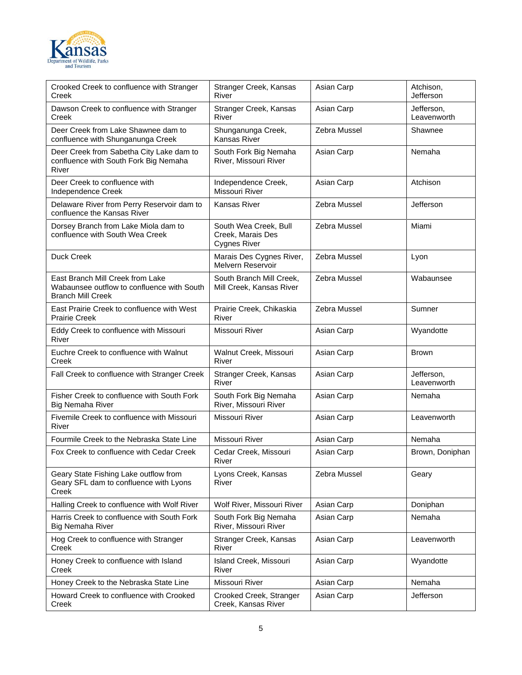

| Crooked Creek to confluence with Stranger<br>Creek                                                         | Stranger Creek, Kansas<br>River                                   | Asian Carp   | Atchison,<br>Jefferson    |
|------------------------------------------------------------------------------------------------------------|-------------------------------------------------------------------|--------------|---------------------------|
| Dawson Creek to confluence with Stranger<br>Creek                                                          | Stranger Creek, Kansas<br>River                                   | Asian Carp   | Jefferson,<br>Leavenworth |
| Deer Creek from Lake Shawnee dam to<br>confluence with Shunganunga Creek                                   | Shunganunga Creek,<br>Kansas River                                | Zebra Mussel | Shawnee                   |
| Deer Creek from Sabetha City Lake dam to<br>confluence with South Fork Big Nemaha<br>River                 | South Fork Big Nemaha<br>River, Missouri River                    | Asian Carp   | Nemaha                    |
| Deer Creek to confluence with<br>Independence Creek                                                        | Independence Creek,<br>Missouri River                             | Asian Carp   | Atchison                  |
| Delaware River from Perry Reservoir dam to<br>confluence the Kansas River                                  | Kansas River                                                      | Zebra Mussel | Jefferson                 |
| Dorsey Branch from Lake Miola dam to<br>confluence with South Wea Creek                                    | South Wea Creek, Bull<br>Creek, Marais Des<br><b>Cygnes River</b> | Zebra Mussel | Miami                     |
| <b>Duck Creek</b>                                                                                          | Marais Des Cygnes River,<br>Melvern Reservoir                     | Zebra Mussel | Lyon                      |
| East Branch Mill Creek from Lake<br>Wabaunsee outflow to confluence with South<br><b>Branch Mill Creek</b> | South Branch Mill Creek,<br>Mill Creek, Kansas River              | Zebra Mussel | Wabaunsee                 |
| East Prairie Creek to confluence with West<br><b>Prairie Creek</b>                                         | Prairie Creek, Chikaskia<br>River                                 | Zebra Mussel | Sumner                    |
| Eddy Creek to confluence with Missouri<br>River                                                            | Missouri River                                                    | Asian Carp   | Wyandotte                 |
| Euchre Creek to confluence with Walnut<br>Creek                                                            | Walnut Creek, Missouri<br>River                                   | Asian Carp   | <b>Brown</b>              |
| Fall Creek to confluence with Stranger Creek                                                               | Stranger Creek, Kansas<br>River                                   | Asian Carp   | Jefferson,<br>Leavenworth |
| Fisher Creek to confluence with South Fork<br><b>Big Nemaha River</b>                                      | South Fork Big Nemaha<br>River, Missouri River                    | Asian Carp   | Nemaha                    |
| Fivemile Creek to confluence with Missouri<br>River                                                        | Missouri River                                                    | Asian Carp   | Leavenworth               |
| Fourmile Creek to the Nebraska State Line                                                                  | Missouri River                                                    | Asian Carp   | Nemaha                    |
| Fox Creek to confluence with Cedar Creek                                                                   | Cedar Creek, Missouri<br>River                                    | Asian Carp   | Brown, Doniphan           |
| Geary State Fishing Lake outflow from<br>Geary SFL dam to confluence with Lyons<br>Creek                   | Lyons Creek, Kansas<br>River                                      | Zebra Mussel | Geary                     |
| Halling Creek to confluence with Wolf River                                                                | Wolf River, Missouri River                                        | Asian Carp   | Doniphan                  |
| Harris Creek to confluence with South Fork<br><b>Big Nemaha River</b>                                      | South Fork Big Nemaha<br>River, Missouri River                    | Asian Carp   | Nemaha                    |
| Hog Creek to confluence with Stranger<br>Creek                                                             | Stranger Creek, Kansas<br>River                                   | Asian Carp   | Leavenworth               |
| Honey Creek to confluence with Island<br>Creek                                                             | Island Creek, Missouri<br>River                                   | Asian Carp   | Wyandotte                 |
| Honey Creek to the Nebraska State Line                                                                     | Missouri River                                                    | Asian Carp   | Nemaha                    |
| Howard Creek to confluence with Crooked<br>Creek                                                           | Crooked Creek, Stranger<br>Creek, Kansas River                    | Asian Carp   | Jefferson                 |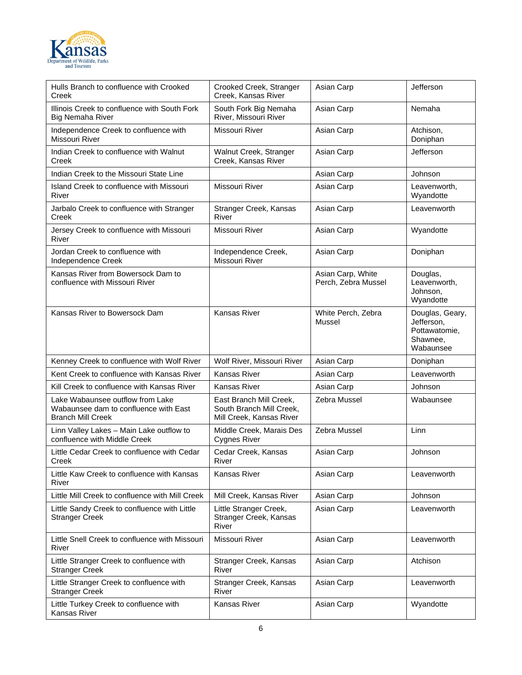

| Hulls Branch to confluence with Crooked<br>Creek                                                      | Crooked Creek, Stranger<br>Creek, Kansas River                                  | Asian Carp                               | Jefferson                                                               |
|-------------------------------------------------------------------------------------------------------|---------------------------------------------------------------------------------|------------------------------------------|-------------------------------------------------------------------------|
| Illinois Creek to confluence with South Fork<br><b>Big Nemaha River</b>                               | South Fork Big Nemaha<br>River, Missouri River                                  | Asian Carp                               | Nemaha                                                                  |
| Independence Creek to confluence with<br>Missouri River                                               | Missouri River                                                                  | Asian Carp                               | Atchison,<br>Doniphan                                                   |
| Indian Creek to confluence with Walnut<br>Creek                                                       | Walnut Creek, Stranger<br>Creek, Kansas River                                   | Asian Carp                               | Jefferson                                                               |
| Indian Creek to the Missouri State Line                                                               |                                                                                 | Asian Carp                               | Johnson                                                                 |
| Island Creek to confluence with Missouri<br>River                                                     | <b>Missouri River</b>                                                           | Asian Carp                               | Leavenworth,<br>Wyandotte                                               |
| Jarbalo Creek to confluence with Stranger<br>Creek                                                    | Stranger Creek, Kansas<br>River                                                 | Asian Carp                               | Leavenworth                                                             |
| Jersey Creek to confluence with Missouri<br>River                                                     | Missouri River                                                                  | Asian Carp                               | Wyandotte                                                               |
| Jordan Creek to confluence with<br>Independence Creek                                                 | Independence Creek,<br>Missouri River                                           | Asian Carp                               | Doniphan                                                                |
| Kansas River from Bowersock Dam to<br>confluence with Missouri River                                  |                                                                                 | Asian Carp, White<br>Perch, Zebra Mussel | Douglas,<br>Leavenworth,<br>Johnson,<br>Wyandotte                       |
| Kansas River to Bowersock Dam                                                                         | Kansas River                                                                    | White Perch, Zebra<br>Mussel             | Douglas, Geary,<br>Jefferson,<br>Pottawatomie,<br>Shawnee,<br>Wabaunsee |
| Kenney Creek to confluence with Wolf River                                                            | Wolf River, Missouri River                                                      | Asian Carp                               | Doniphan                                                                |
| Kent Creek to confluence with Kansas River                                                            | Kansas River                                                                    | Asian Carp                               | Leavenworth                                                             |
| Kill Creek to confluence with Kansas River                                                            | Kansas River                                                                    | Asian Carp                               | Johnson                                                                 |
| Lake Wabaunsee outflow from Lake<br>Wabaunsee dam to confluence with East<br><b>Branch Mill Creek</b> | East Branch Mill Creek,<br>South Branch Mill Creek,<br>Mill Creek, Kansas River | Zebra Mussel                             | Wabaunsee                                                               |
| Linn Valley Lakes - Main Lake outflow to<br>confluence with Middle Creek                              | Middle Creek, Marais Des<br><b>Cygnes River</b>                                 | Zebra Mussel                             | Linn                                                                    |
| Little Cedar Creek to confluence with Cedar<br>Creek                                                  | Cedar Creek, Kansas<br>River                                                    | Asian Carp                               | Johnson                                                                 |
| Little Kaw Creek to confluence with Kansas<br>River                                                   | Kansas River                                                                    | Asian Carp                               | Leavenworth                                                             |
| Little Mill Creek to confluence with Mill Creek                                                       | Mill Creek, Kansas River                                                        | Asian Carp                               | Johnson                                                                 |
| Little Sandy Creek to confluence with Little<br><b>Stranger Creek</b>                                 | Little Stranger Creek,<br>Stranger Creek, Kansas<br>River                       | Asian Carp                               | Leavenworth                                                             |
| Little Snell Creek to confluence with Missouri<br>River                                               | <b>Missouri River</b>                                                           | Asian Carp                               | Leavenworth                                                             |
| Little Stranger Creek to confluence with<br><b>Stranger Creek</b>                                     | Stranger Creek, Kansas<br>River                                                 | Asian Carp                               | Atchison                                                                |
| Little Stranger Creek to confluence with<br><b>Stranger Creek</b>                                     | Stranger Creek, Kansas<br>River                                                 | Asian Carp                               | Leavenworth                                                             |
| Little Turkey Creek to confluence with<br>Kansas River                                                | Kansas River                                                                    | Asian Carp                               | Wyandotte                                                               |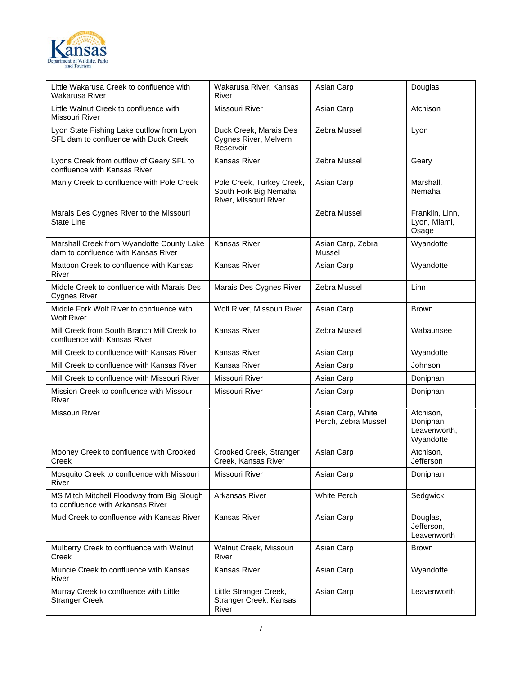

| Little Wakarusa Creek to confluence with<br>Wakarusa River                         | Wakarusa River, Kansas<br>River                                             | Asian Carp                               | Douglas                                             |
|------------------------------------------------------------------------------------|-----------------------------------------------------------------------------|------------------------------------------|-----------------------------------------------------|
| Little Walnut Creek to confluence with<br>Missouri River                           | Missouri River                                                              | Asian Carp                               | Atchison                                            |
| Lyon State Fishing Lake outflow from Lyon<br>SFL dam to confluence with Duck Creek | Duck Creek, Marais Des<br>Cygnes River, Melvern<br>Reservoir                | Zebra Mussel                             | Lyon                                                |
| Lyons Creek from outflow of Geary SFL to<br>confluence with Kansas River           | Kansas River                                                                | Zebra Mussel                             | Geary                                               |
| Manly Creek to confluence with Pole Creek                                          | Pole Creek, Turkey Creek,<br>South Fork Big Nemaha<br>River, Missouri River | Asian Carp                               | Marshall,<br>Nemaha                                 |
| Marais Des Cygnes River to the Missouri<br>State Line                              |                                                                             | Zebra Mussel                             | Franklin, Linn,<br>Lyon, Miami,<br>Osage            |
| Marshall Creek from Wyandotte County Lake<br>dam to confluence with Kansas River   | Kansas River                                                                | Asian Carp, Zebra<br>Mussel              | Wyandotte                                           |
| Mattoon Creek to confluence with Kansas<br>River                                   | Kansas River                                                                | Asian Carp                               | Wyandotte                                           |
| Middle Creek to confluence with Marais Des<br>Cygnes River                         | Marais Des Cygnes River                                                     | Zebra Mussel                             | Linn                                                |
| Middle Fork Wolf River to confluence with<br><b>Wolf River</b>                     | Wolf River, Missouri River                                                  | Asian Carp                               | <b>Brown</b>                                        |
| Mill Creek from South Branch Mill Creek to<br>confluence with Kansas River         | Kansas River                                                                | Zebra Mussel                             | Wabaunsee                                           |
| Mill Creek to confluence with Kansas River                                         | Kansas River                                                                | Asian Carp                               | Wyandotte                                           |
| Mill Creek to confluence with Kansas River                                         | Kansas River                                                                | Asian Carp                               | Johnson                                             |
| Mill Creek to confluence with Missouri River                                       | Missouri River                                                              | Asian Carp                               | Doniphan                                            |
| Mission Creek to confluence with Missouri<br>River                                 | Missouri River                                                              | Asian Carp                               | Doniphan                                            |
| Missouri River                                                                     |                                                                             | Asian Carp, White<br>Perch, Zebra Mussel | Atchison.<br>Doniphan,<br>Leavenworth,<br>Wyandotte |
| Mooney Creek to confluence with Crooked<br>Creek                                   | Crooked Creek, Stranger<br>Creek, Kansas River                              | Asian Carp                               | Atchison.<br>Jefferson                              |
| Mosquito Creek to confluence with Missouri<br>River                                | Missouri River                                                              | Asian Carp                               | Doniphan                                            |
| MS Mitch Mitchell Floodway from Big Slough<br>to confluence with Arkansas River    | Arkansas River                                                              | White Perch                              | Sedgwick                                            |
| Mud Creek to confluence with Kansas River                                          | Kansas River                                                                | Asian Carp                               | Douglas,<br>Jefferson,<br>Leavenworth               |
| Mulberry Creek to confluence with Walnut<br>Creek                                  | Walnut Creek, Missouri<br>River                                             | Asian Carp                               | Brown                                               |
| Muncie Creek to confluence with Kansas<br>River                                    | Kansas River                                                                | Asian Carp                               | Wyandotte                                           |
| Murray Creek to confluence with Little<br><b>Stranger Creek</b>                    | Little Stranger Creek,<br>Stranger Creek, Kansas<br>River                   | Asian Carp                               | Leavenworth                                         |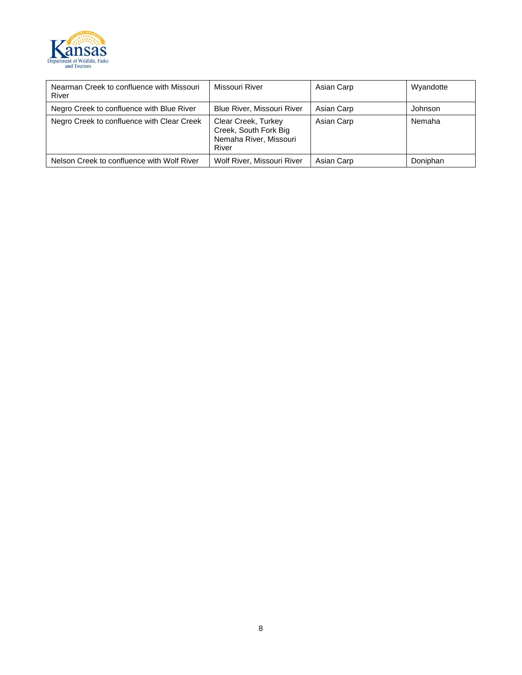

| Nearman Creek to confluence with Missouri<br>River | Missouri River                                                                  | Asian Carp | Wyandotte |
|----------------------------------------------------|---------------------------------------------------------------------------------|------------|-----------|
| Negro Creek to confluence with Blue River          | <b>Blue River, Missouri River</b>                                               | Asian Carp | Johnson   |
| Negro Creek to confluence with Clear Creek         | Clear Creek, Turkey<br>Creek, South Fork Big<br>Nemaha River, Missouri<br>River | Asian Carp | Nemaha    |
| Nelson Creek to confluence with Wolf River         | Wolf River, Missouri River                                                      | Asian Carp | Doniphan  |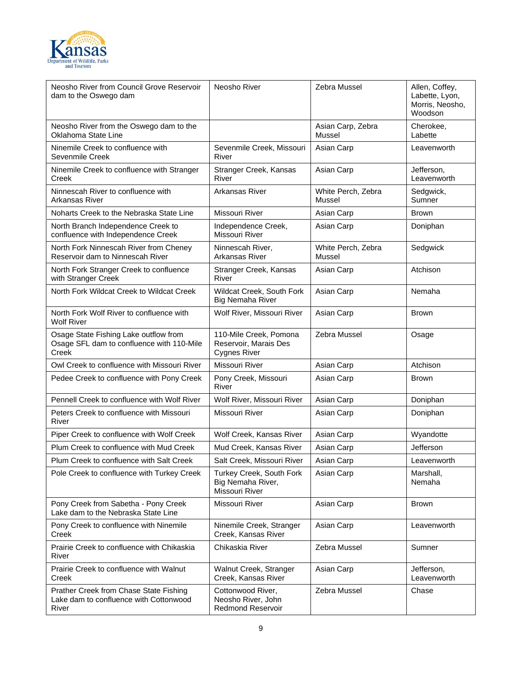

| Neosho River from Council Grove Reservoir<br>dam to the Oswego dam                          | Neosho River                                                           | Zebra Mussel                 | Allen, Coffey,<br>Labette, Lyon,<br>Morris, Neosho,<br>Woodson |
|---------------------------------------------------------------------------------------------|------------------------------------------------------------------------|------------------------------|----------------------------------------------------------------|
| Neosho River from the Oswego dam to the<br>Oklahoma State Line                              |                                                                        | Asian Carp, Zebra<br>Mussel  | Cherokee,<br>Labette                                           |
| Ninemile Creek to confluence with<br>Sevenmile Creek                                        | Sevenmile Creek, Missouri<br>River                                     | Asian Carp                   | Leavenworth                                                    |
| Ninemile Creek to confluence with Stranger<br>Creek                                         | Stranger Creek, Kansas<br>River                                        | Asian Carp                   | Jefferson,<br>Leavenworth                                      |
| Ninnescah River to confluence with<br>Arkansas River                                        | Arkansas River                                                         | White Perch, Zebra<br>Mussel | Sedgwick,<br>Sumner                                            |
| Noharts Creek to the Nebraska State Line                                                    | Missouri River                                                         | Asian Carp                   | <b>Brown</b>                                                   |
| North Branch Independence Creek to<br>confluence with Independence Creek                    | Independence Creek,<br>Missouri River                                  | Asian Carp                   | Doniphan                                                       |
| North Fork Ninnescah River from Cheney<br>Reservoir dam to Ninnescah River                  | Ninnescah River,<br>Arkansas River                                     | White Perch, Zebra<br>Mussel | Sedgwick                                                       |
| North Fork Stranger Creek to confluence<br>with Stranger Creek                              | Stranger Creek, Kansas<br>River                                        | Asian Carp                   | Atchison                                                       |
| North Fork Wildcat Creek to Wildcat Creek                                                   | Wildcat Creek, South Fork<br><b>Big Nemaha River</b>                   | Asian Carp                   | Nemaha                                                         |
| North Fork Wolf River to confluence with<br>Wolf River                                      | Wolf River, Missouri River                                             | Asian Carp                   | <b>Brown</b>                                                   |
| Osage State Fishing Lake outflow from<br>Osage SFL dam to confluence with 110-Mile<br>Creek | 110-Mile Creek, Pomona<br>Reservoir, Marais Des<br><b>Cygnes River</b> | Zebra Mussel                 | Osage                                                          |
| Owl Creek to confluence with Missouri River                                                 | Missouri River                                                         | Asian Carp                   | Atchison                                                       |
| Pedee Creek to confluence with Pony Creek                                                   | Pony Creek, Missouri<br>River                                          | Asian Carp                   | <b>Brown</b>                                                   |
| Pennell Creek to confluence with Wolf River                                                 | Wolf River, Missouri River                                             | Asian Carp                   | Doniphan                                                       |
| Peters Creek to confluence with Missouri<br>River                                           | Missouri River                                                         | Asian Carp                   | Doniphan                                                       |
| Piper Creek to confluence with Wolf Creek                                                   | Wolf Creek, Kansas River                                               | Asian Carp                   | Wyandotte                                                      |
| Plum Creek to confluence with Mud Creek                                                     | Mud Creek, Kansas River                                                | Asian Carp                   | Jefferson                                                      |
| Plum Creek to confluence with Salt Creek                                                    | Salt Creek. Missouri River                                             | Asian Carp                   | Leavenworth                                                    |
| Pole Creek to confluence with Turkey Creek                                                  | Turkey Creek, South Fork<br>Big Nemaha River,<br>Missouri River        | Asian Carp                   | Marshall,<br>Nemaha                                            |
| Pony Creek from Sabetha - Pony Creek<br>Lake dam to the Nebraska State Line                 | Missouri River                                                         | Asian Carp                   | Brown                                                          |
| Pony Creek to confluence with Ninemile<br>Creek                                             | Ninemile Creek, Stranger<br>Creek, Kansas River                        | Asian Carp                   | Leavenworth                                                    |
| Prairie Creek to confluence with Chikaskia<br>River                                         | Chikaskia River                                                        | Zebra Mussel                 | Sumner                                                         |
| Prairie Creek to confluence with Walnut<br>Creek                                            | Walnut Creek, Stranger<br>Creek, Kansas River                          | Asian Carp                   | Jefferson,<br>Leavenworth                                      |
| Prather Creek from Chase State Fishing<br>Lake dam to confluence with Cottonwood<br>River   | Cottonwood River,<br>Neosho River, John<br><b>Redmond Reservoir</b>    | Zebra Mussel                 | Chase                                                          |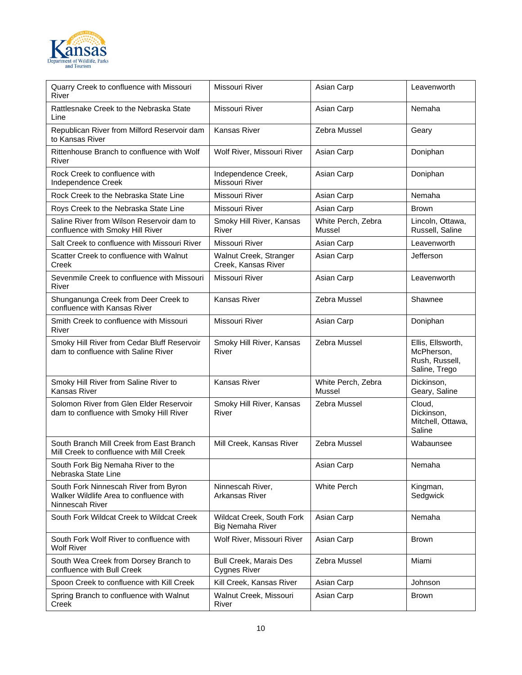

| Quarry Creek to confluence with Missouri<br>River                                                   | Missouri River                                       | Asian Carp                   | Leavenworth                                                        |
|-----------------------------------------------------------------------------------------------------|------------------------------------------------------|------------------------------|--------------------------------------------------------------------|
| Rattlesnake Creek to the Nebraska State<br>Line                                                     | Missouri River                                       | Asian Carp                   | Nemaha                                                             |
| Republican River from Milford Reservoir dam<br>to Kansas River                                      | <b>Kansas River</b>                                  | Zebra Mussel                 | Geary                                                              |
| Rittenhouse Branch to confluence with Wolf<br>River                                                 | Wolf River, Missouri River                           | Asian Carp                   | Doniphan                                                           |
| Rock Creek to confluence with<br>Independence Creek                                                 | Independence Creek,<br>Missouri River                | Asian Carp                   | Doniphan                                                           |
| Rock Creek to the Nebraska State Line                                                               | Missouri River                                       | Asian Carp                   | Nemaha                                                             |
| Roys Creek to the Nebraska State Line                                                               | Missouri River                                       | Asian Carp                   | <b>Brown</b>                                                       |
| Saline River from Wilson Reservoir dam to<br>confluence with Smoky Hill River                       | Smoky Hill River, Kansas<br>River                    | White Perch, Zebra<br>Mussel | Lincoln, Ottawa,<br>Russell, Saline                                |
| Salt Creek to confluence with Missouri River                                                        | Missouri River                                       | Asian Carp                   | Leavenworth                                                        |
| Scatter Creek to confluence with Walnut<br>Creek                                                    | Walnut Creek, Stranger<br>Creek, Kansas River        | Asian Carp                   | Jefferson                                                          |
| Sevenmile Creek to confluence with Missouri<br>River                                                | Missouri River                                       | Asian Carp                   | Leavenworth                                                        |
| Shunganunga Creek from Deer Creek to<br>confluence with Kansas River                                | <b>Kansas River</b>                                  | Zebra Mussel                 | Shawnee                                                            |
| Smith Creek to confluence with Missouri<br>River                                                    | Missouri River                                       | Asian Carp                   | Doniphan                                                           |
| Smoky Hill River from Cedar Bluff Reservoir<br>dam to confluence with Saline River                  | Smoky Hill River, Kansas<br>River                    | Zebra Mussel                 | Ellis, Ellsworth,<br>McPherson,<br>Rush, Russell,<br>Saline, Trego |
| Smoky Hill River from Saline River to<br>Kansas River                                               | Kansas River                                         | White Perch, Zebra<br>Mussel | Dickinson,<br>Geary, Saline                                        |
| Solomon River from Glen Elder Reservoir<br>dam to confluence with Smoky Hill River                  | Smoky Hill River, Kansas<br>River                    | Zebra Mussel                 | Cloud,<br>Dickinson,<br>Mitchell, Ottawa,<br>Saline                |
| South Branch Mill Creek from East Branch<br>Mill Creek to confluence with Mill Creek                | Mill Creek, Kansas River                             | Zebra Mussel                 | Wabaunsee                                                          |
| South Fork Big Nemaha River to the<br>Nebraska State Line                                           |                                                      | Asian Carp                   | Nemaha                                                             |
| South Fork Ninnescah River from Byron<br>Walker Wildlife Area to confluence with<br>Ninnescah River | Ninnescah River,<br>Arkansas River                   | White Perch                  | Kingman,<br>Sedgwick                                               |
| South Fork Wildcat Creek to Wildcat Creek                                                           | Wildcat Creek, South Fork<br><b>Big Nemaha River</b> | Asian Carp                   | Nemaha                                                             |
| South Fork Wolf River to confluence with<br><b>Wolf River</b>                                       | Wolf River, Missouri River                           | Asian Carp                   | <b>Brown</b>                                                       |
| South Wea Creek from Dorsey Branch to<br>confluence with Bull Creek                                 | <b>Bull Creek, Marais Des</b><br><b>Cygnes River</b> | Zebra Mussel                 | Miami                                                              |
| Spoon Creek to confluence with Kill Creek                                                           | Kill Creek, Kansas River                             | Asian Carp                   | Johnson                                                            |
| Spring Branch to confluence with Walnut<br>Creek                                                    | Walnut Creek, Missouri<br>River                      | Asian Carp                   | <b>Brown</b>                                                       |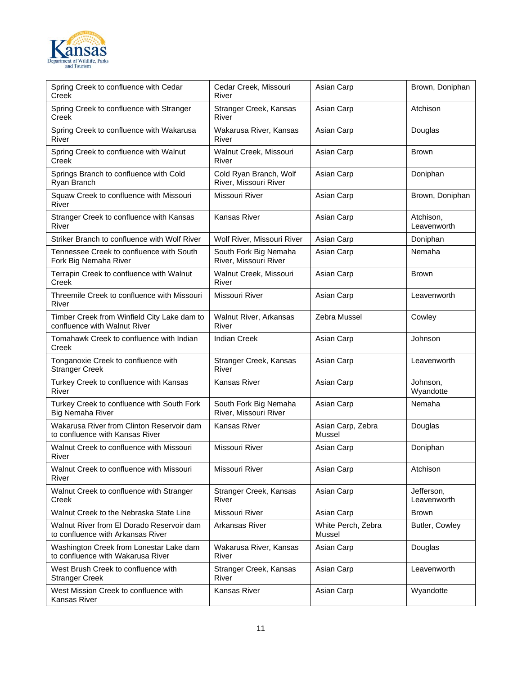

| Spring Creek to confluence with Cedar<br>Creek                                 | Cedar Creek, Missouri<br>River                  | Asian Carp                   | Brown, Doniphan           |
|--------------------------------------------------------------------------------|-------------------------------------------------|------------------------------|---------------------------|
| Spring Creek to confluence with Stranger<br>Creek                              | Stranger Creek, Kansas<br>River                 | Asian Carp                   | Atchison                  |
| Spring Creek to confluence with Wakarusa<br>River                              | Wakarusa River, Kansas<br>River                 | Asian Carp                   | Douglas                   |
| Spring Creek to confluence with Walnut<br>Creek                                | Walnut Creek, Missouri<br>River                 | Asian Carp                   | <b>Brown</b>              |
| Springs Branch to confluence with Cold<br>Ryan Branch                          | Cold Ryan Branch, Wolf<br>River, Missouri River | Asian Carp                   | Doniphan                  |
| Squaw Creek to confluence with Missouri<br>River                               | Missouri River                                  | Asian Carp                   | Brown, Doniphan           |
| Stranger Creek to confluence with Kansas<br>River                              | Kansas River                                    | Asian Carp                   | Atchison,<br>Leavenworth  |
| Striker Branch to confluence with Wolf River                                   | Wolf River, Missouri River                      | Asian Carp                   | Doniphan                  |
| Tennessee Creek to confluence with South<br>Fork Big Nemaha River              | South Fork Big Nemaha<br>River, Missouri River  | Asian Carp                   | Nemaha                    |
| Terrapin Creek to confluence with Walnut<br>Creek                              | Walnut Creek, Missouri<br>River                 | Asian Carp                   | <b>Brown</b>              |
| Threemile Creek to confluence with Missouri<br>River                           | Missouri River                                  | Asian Carp                   | Leavenworth               |
| Timber Creek from Winfield City Lake dam to<br>confluence with Walnut River    | Walnut River, Arkansas<br>River                 | Zebra Mussel                 | Cowley                    |
| Tomahawk Creek to confluence with Indian<br>Creek                              | <b>Indian Creek</b>                             | Asian Carp                   | Johnson                   |
| Tonganoxie Creek to confluence with<br><b>Stranger Creek</b>                   | Stranger Creek, Kansas<br>River                 | Asian Carp                   | Leavenworth               |
| Turkey Creek to confluence with Kansas<br>River                                | Kansas River                                    | Asian Carp                   | Johnson,<br>Wyandotte     |
| Turkey Creek to confluence with South Fork<br><b>Big Nemaha River</b>          | South Fork Big Nemaha<br>River, Missouri River  | Asian Carp                   | Nemaha                    |
| Wakarusa River from Clinton Reservoir dam<br>to confluence with Kansas River   | Kansas River                                    | Asian Carp, Zebra<br>Mussel  | Douglas                   |
| Walnut Creek to confluence with Missouri<br>River                              | Missouri River                                  | Asian Carp                   | Doniphan                  |
| Walnut Creek to confluence with Missouri<br>River                              | Missouri River                                  | Asian Carp                   | Atchison                  |
| Walnut Creek to confluence with Stranger<br>Creek                              | Stranger Creek, Kansas<br>River                 | Asian Carp                   | Jefferson,<br>Leavenworth |
| Walnut Creek to the Nebraska State Line                                        | Missouri River                                  | Asian Carp                   | <b>Brown</b>              |
| Walnut River from El Dorado Reservoir dam<br>to confluence with Arkansas River | Arkansas River                                  | White Perch, Zebra<br>Mussel | Butler, Cowley            |
| Washington Creek from Lonestar Lake dam<br>to confluence with Wakarusa River   | Wakarusa River, Kansas<br>River                 | Asian Carp                   | Douglas                   |
| West Brush Creek to confluence with<br><b>Stranger Creek</b>                   | Stranger Creek, Kansas<br>River                 | Asian Carp                   | Leavenworth               |
| West Mission Creek to confluence with<br>Kansas River                          | Kansas River                                    | Asian Carp                   | Wyandotte                 |